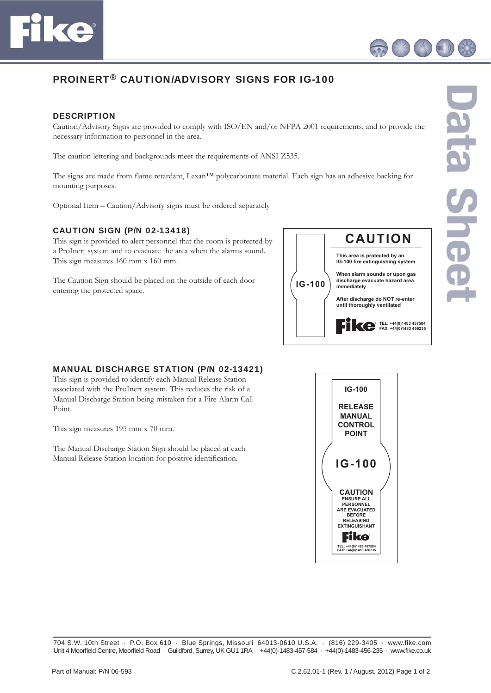



## PROINERT® CAUTION/ADVISORY SIGNS FOR IG-100

## **DESCRIPTION**

Caution/Advisory Signs are provided to comply with ISO/EN and/or NFPA 2001 requirements, and to provide the necessary information to personnel in the area.

The caution lettering and backgrounds meet the requirements of ANSI Z535.

The signs are made from flame retardant, Lexan™ polycarbonate material. Each sign has an adhesive backing for mounting purposes.

Optional Item – Caution/Advisory signs must be ordered separately

## CAUTION SIGN (P/N 02-13418)

This sign is provided to alert personnel that the room is protected by a ProInert system and to evacuate the area when the alarms sound. This sign measures 160 mm x 160 mm.

The Caution Sign should be placed on the outside of each door entering the protected space.



## MANUAL DISCHARGE STATION (P/N 02-13421)

This sign is provided to identify each Manual Release Station associated with the ProInert system. This reduces the risk of a Manual Discharge Station being mistaken for a Fire Alarm Call Point.

This sign measures 195 mm x 70 mm.

The Manual Discharge Station Sign should be placed at each Manual Release Station location for positive identification.